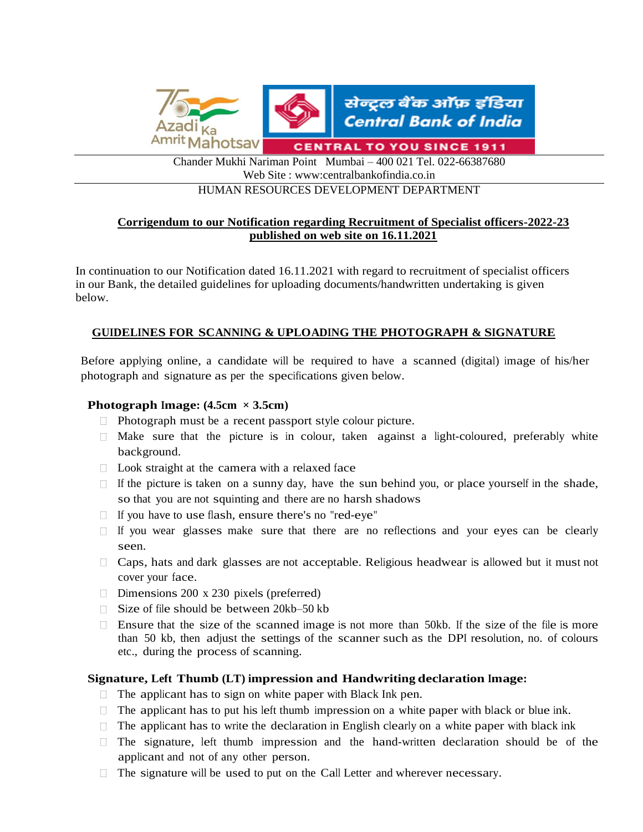

Chander Mukhi Nariman Point Mumbai – 400 021 Tel. 022-66387680 Web Site : www:centralbankofindia.co.in

HUMAN RESOURCES DEVELOPMENT DEPARTMENT

# **Corrigendum to our Notification regarding Recruitment of Specialist officers-2022-23 published on web site on 16.11.2021**

In continuation to our Notification dated 16.11.2021 with regard to recruitment of specialist officers in our Bank, the detailed guidelines for uploading documents/handwritten undertaking is given below.

# **GUIDELINES FOR SCANNING & UPLOADING THE PHOTOGRAPH & SIGNATURE**

Before applying online, a candidate will be required to have a scanned (digital) image of his/her photograph and signature as per the specifications given below.

# **Photograph Image:**  $(4.5cm \times 3.5cm)$

- $\Box$  Photograph must be a recent passport style colour picture.
- $\Box$  Make sure that the picture is in colour, taken against a light-coloured, preferably white background.
- $\Box$  Look straight at the camera with a relaxed face
- $\Box$  If the picture is taken on a sunny day, have the sun behind you, or place yourself in the shade, so that you are not squinting and there are no harsh shadows
- □ If you have to use flash, ensure there's no "red-eye"
- $\Box$  If you wear glasses make sure that there are no reflections and your eyes can be clearly seen.
- $\Box$  Caps, hats and dark glasses are not acceptable. Religious headwear is allowed but it must not cover your face.
- $\Box$  Dimensions 200 x 230 pixels (preferred)
- $\Box$  Size of file should be between 20kb–50 kb
- $\Box$  Ensure that the size of the scanned image is not more than 50kb. If the size of the file is more than 50 kb, then adjust the settings of the scanner such as the DPI resolution, no. of colours etc., during the process of scanning.

# **Signature, Left Thumb (LT) impression and Handwriting declaration Image:**

- $\Box$  The applicant has to sign on white paper with Black Ink pen.
- $\Box$  The applicant has to put his left thumb impression on a white paper with black or blue ink.
- $\Box$  The applicant has to write the declaration in English clearly on a white paper with black ink
- $\Box$  The signature, left thumb impression and the hand-written declaration should be of the applicant and not of any other person.
- $\Box$  The signature will be used to put on the Call Letter and wherever necessary.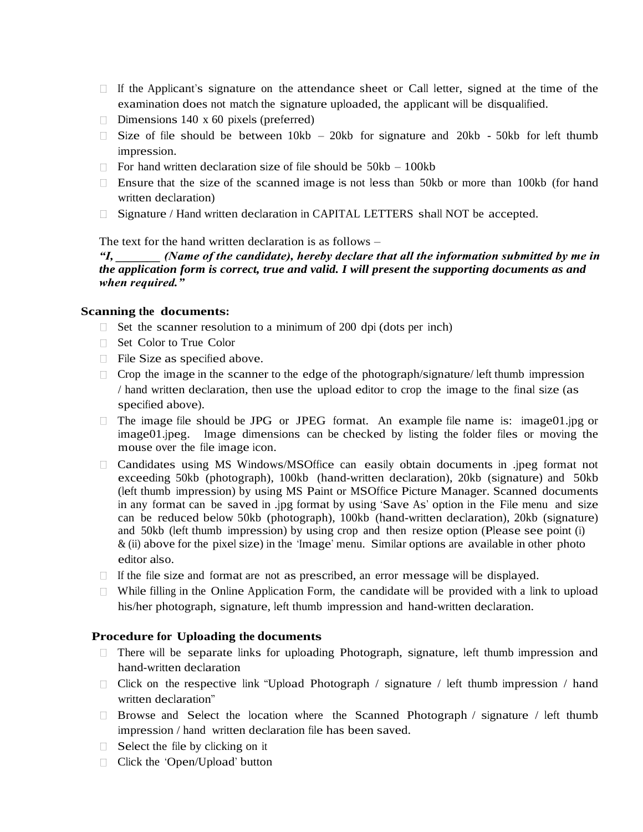- $\Box$  If the Applicant's signature on the attendance sheet or Call letter, signed at the time of the examination does not match the signature uploaded, the applicant will be disqualified.
- Dimensions 140 x 60 pixels (preferred)
- $\Box$  Size of file should be between 10kb 20kb for signature and 20kb 50kb for left thumb impression.
- $\Box$  For hand written declaration size of file should be 50kb 100kb
- $\Box$  Ensure that the size of the scanned image is not less than 50kb or more than 100kb (for hand written declaration)
- $\Box$  Signature / Hand written declaration in CAPITAL LETTERS shall NOT be accepted.

#### The text for the hand written declaration is as follows –

*"I, \_\_\_\_\_\_\_ (Name of the candidate), hereby declare that all the information submitted by me in the application form is correct, true and valid. I will present the supporting documents as and when required."* 

#### **Scanning the documents:**

- $\Box$  Set the scanner resolution to a minimum of 200 dpi (dots per inch)
- □ Set Color to True Color
- File Size as specified above.
- $\Box$  Crop the image in the scanner to the edge of the photograph/signature/ left thumb impression / hand written declaration, then use the upload editor to crop the image to the final size (as specified above).
- $\Box$  The image file should be JPG or JPEG format. An example file name is: image01.jpg or image01.jpeg. Image dimensions can be checked by listing the folder files or moving the mouse over the file image icon.
- Candidates using MS Windows/MSOffice can easily obtain documents in .jpeg format not exceeding 50kb (photograph), 100kb (hand-written declaration), 20kb (signature) and 50kb (left thumb impression) by using MS Paint or MSOffice Picture Manager. Scanned documents in any format can be saved in .jpg format by using "Save As" option in the File menu and size can be reduced below 50kb (photograph), 100kb (hand-written declaration), 20kb (signature) and 50kb (left thumb impression) by using crop and then resize option (Please see point (i)  $\&$  (ii) above for the pixel size) in the 'Image' menu. Similar options are available in other photo editor also.
- $\Box$  If the file size and format are not as prescribed, an error message will be displayed.
- $\Box$  While filling in the Online Application Form, the candidate will be provided with a link to upload his/her photograph, signature, left thumb impression and hand-written declaration.

#### **Procedure for Uploading the documents**

- $\Box$  There will be separate links for uploading Photograph, signature, left thumb impression and hand-written declaration
- $\Box$  Click on the respective link "Upload Photograph / signature / left thumb impression / hand written declaration"
- $\Box$  Browse and Select the location where the Scanned Photograph / signature / left thumb impression / hand written declaration file has been saved.
- $\Box$  Select the file by clicking on it
- □ Click the 'Open/Upload' button